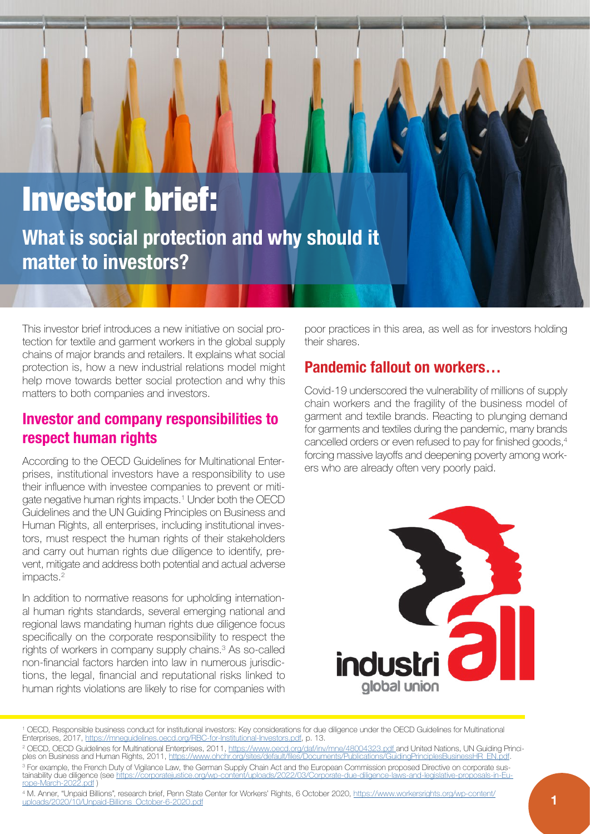# Investor brief: **What is social protection and why should it matter to investors?**

This investor brief introduces a new initiative on social protection for textile and garment workers in the global supply chains of major brands and retailers. It explains what social protection is, how a new industrial relations model might help move towards better social protection and why this matters to both companies and investors.

# **Investor and company responsibilities to respect human rights**

According to the OECD Guidelines for Multinational Enterprises, institutional investors have a responsibility to use their influence with investee companies to prevent or mitigate negative human rights impacts.1 Under both the OECD Guidelines and the UN Guiding Principles on Business and Human Rights, all enterprises, including institutional investors, must respect the human rights of their stakeholders and carry out human rights due diligence to identify, prevent, mitigate and address both potential and actual adverse impacts.2

In addition to normative reasons for upholding international human rights standards, several emerging national and regional laws mandating human rights due diligence focus specifically on the corporate responsibility to respect the rights of workers in company supply chains.3 As so-called non-financial factors harden into law in numerous jurisdictions, the legal, financial and reputational risks linked to human rights violations are likely to rise for companies with poor practices in this area, as well as for investors holding their shares.

# **Pandemic fallout on workers…**

Covid-19 underscored the vulnerability of millions of supply chain workers and the fragility of the business model of garment and textile brands. Reacting to plunging demand for garments and textiles during the pandemic, many brands cancelled orders or even refused to pay for finished goods,<sup>4</sup> forcing massive layoffs and deepening poverty among workers who are already often very poorly paid.



<sup>1</sup> OECD, Responsible business conduct for institutional investors: Key considerations for due diligence under the OECD Guidelines for Multinational Enterprises, 2017,<https://mneguidelines.oecd.org/RBC-for-Institutional-Investors.pdf>, p. 13.

<sup>&</sup>lt;sup>2</sup> OECD, OECD Guidelines for Multinational Enterprises, 2011, <https://www.oecd.org/daf/inv/mne/48004323.pdf>and United Nations, UN Guiding Principles on Business and Human Rights, 2011, https://www.ohchr.org/sites/default/files/Documents/Publications/GuidingPrinciple <sup>3</sup> For example, the French Duty of Vigilance Law, the German Supply Chain Act and the European Commission proposed Directive on corporate sustainability due diligence (see [https://corporatejustice.org/wp-content/uploads/2022/03/Corporate-due-diligence-laws-and-legislative-proposals-in-Eu](https://corporatejustice.org/wp-content/uploads/2022/03/Corporate-due-diligence-laws-and-legislative-proposals-in-Europe-March-2022.pdf)[rope-March-2022.pdf](https://corporatejustice.org/wp-content/uploads/2022/03/Corporate-due-diligence-laws-and-legislative-proposals-in-Europe-March-2022.pdf) )

<sup>4</sup> M. Anner, "Unpaid Billions", research brief, Penn State Center for Workers' Rights, 6 October 2020, [https://www.workersrights.org/wp-content/](https://www.workersrights.org/wp-content/uploads/2020/10/Unpaid-Billions_October-6-2020.pdf) [uploads/2020/10/Unpaid-Billions\\_October-6-2020.pdf](https://www.workersrights.org/wp-content/uploads/2020/10/Unpaid-Billions_October-6-2020.pdf) **1**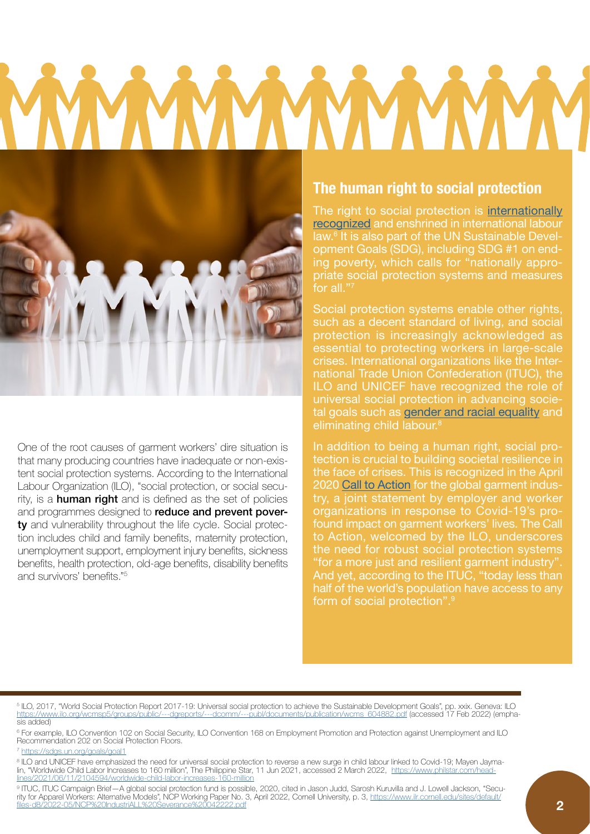

One of the root causes of garment workers' dire situation is that many producing countries have inadequate or non-existent social protection systems. According to the International Labour Organization (ILO), "social protection, or social security, is a **human right** and is defined as the set of policies and programmes designed to reduce and prevent poverty and vulnerability throughout the life cycle. Social protection includes child and family benefits, maternity protection, unemployment support, employment injury benefits, sickness benefits, health protection, old-age benefits, disability benefits and survivors' benefits."<sup>5</sup>

#### **The human right to social protection**

The right to social protection is [internationally](https://www.ituc-csi.org/investments-in-social-protection)  [recognized](https://www.ituc-csi.org/investments-in-social-protection) and enshrined in international labour law.6 It is also part of the UN Sustainable Development Goals (SDG), including SDG #1 on ending poverty, which calls for "nationally appropriate social protection systems and measures for all."7

Social protection systems enable other rights, such as a decent standard of living, and social protection is increasingly acknowledged as essential to protecting workers in large-scale crises. International organizations like the International Trade Union Confederation (ITUC), the ILO and UNICEF have recognized the role of universal social protection in advancing societal goals such as [gender and racial equality](https://www.ituc-csi.org/IMG/pdf/ituc_campaign_brief_-_a_global_social_protection_fund_en_v3.pdf) and eliminating child labour.8

In addition to being a human right, social protection is crucial to building societal resilience in the face of crises. This is recognized in the April 2020 [Call to Action](https://www.ilo.org/global/about-the-ilo/newsroom/news/WCMS_742446/lang--en/index.htm) for the global garment industry, a joint statement by employer and worker organizations in response to Covid-19's profound impact on garment workers' lives. The Call to Action, welcomed by the ILO, underscores the need for robust social protection systems "for a more just and resilient garment industry". And yet, according to the ITUC, "today less than half of the world's population have access to any form of social protection".9

5 ILO, 2017, "World Social Protection Report 2017-19: Universal social protection to achieve the Sustainable Development Goals", pp. xxix. Geneva: ILO [https://www.ilo.org/wcmsp5/groups/public/---dgreports/---dcomm/---publ/documents/publication/wcms\\_604882.pdf](https://www.ilo.org/wcmsp5/groups/public/---dgreports/---dcomm/---publ/documents/publication/wcms_604882.pdf) (accessed 17 Feb 2022) (emphasis added)

6 For example, ILO Convention 102 on Social Security, ILO Convention 168 on Employment Promotion and Protection against Unemployment and ILO Recommendation 202 on Social Protection Floors.

<sup>7</sup> <https://sdgs.un.org/goals/goal1>

8 ILO and UNICEF have emphasized the need for universal social protection to reverse a new surge in child labour linked to Covid-19; Mayen Jaymalin, "Worldwide Child Labor Increases to 160 million", The Philippine Star, 11 Jun 2021, accessed 2 March 2022, [https://www.philstar.com/head](https://www.philstar.com/headlines/2021/06/11/2104594/worldwide-child-labor-increases-160-million)[lines/2021/06/11/2104594/worldwide-child-labor-increases-160-million](https://www.philstar.com/headlines/2021/06/11/2104594/worldwide-child-labor-increases-160-million)

9 ITUC, ITUC Campaign Brief—A global social protection fund is possible, 2020, cited in Jason Judd, Sarosh Kuruvilla and J. Lowell Jackson, "Security for Apparel Workers: Alternative Models", NCP Working Paper No. 3, April 2022, Cornell University, p. 3, [https://www.ilr.cornell.edu/sites/default/](https://www.ilr.cornell.edu/sites/default/files-d8/2022-05/NCP%20IndustriALL%20Severance%20042222.pdf) [files-d8/2022-05/NCP%20IndustriALL%20Severance%20042222.pdf](https://www.ilr.cornell.edu/sites/default/files-d8/2022-05/NCP%20IndustriALL%20Severance%20042222.pdf)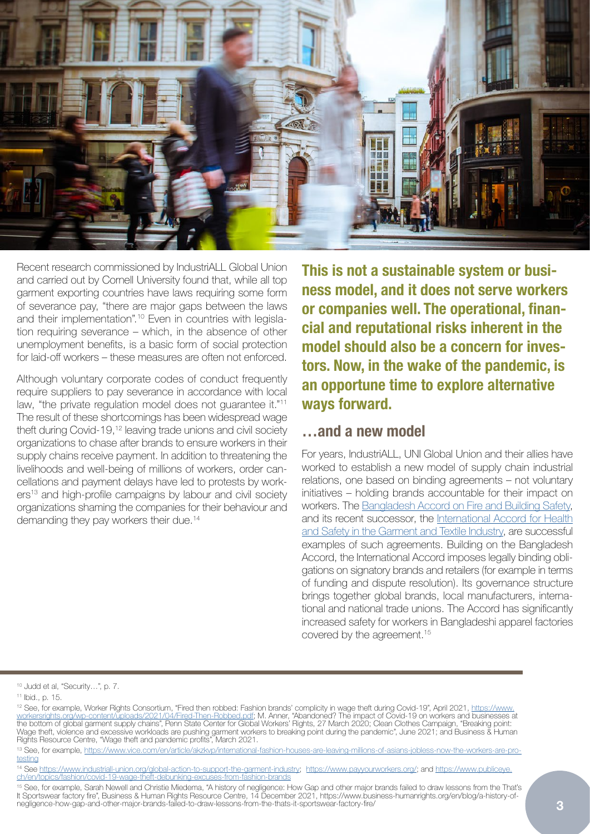

Recent research commissioned by IndustriALL Global Union and carried out by Cornell University found that, while all top garment exporting countries have laws requiring some form of severance pay, "there are major gaps between the laws and their implementation".10 Even in countries with legislation requiring severance – which, in the absence of other unemployment benefits, is a basic form of social protection for laid-off workers – these measures are often not enforced.

Although voluntary corporate codes of conduct frequently require suppliers to pay severance in accordance with local law, "the private regulation model does not guarantee it."<sup>11</sup> The result of these shortcomings has been widespread wage theft during Covid-19,12 leaving trade unions and civil society organizations to chase after brands to ensure workers in their supply chains receive payment. In addition to threatening the livelihoods and well-being of millions of workers, order cancellations and payment delays have led to protests by workers<sup>13</sup> and high-profile campaigns by labour and civil society organizations shaming the companies for their behaviour and demanding they pay workers their due.14

**This is not a sustainable system or business model, and it does not serve workers or companies well. The operational, financial and reputational risks inherent in the model should also be a concern for investors. Now, in the wake of the pandemic, is an opportune time to explore alternative ways forward.**

#### **…and a new model**

For years, IndustriALL, UNI Global Union and their allies have worked to establish a new model of supply chain industrial relations, one based on binding agreements – not voluntary initiatives – holding brands accountable for their impact on workers. The [Bangladesh Accord on Fire and Building Safety](https://bangladeshaccord.org/), and its recent successor, the [International Accord for Health](https://internationalaccord.org/home) [and Safety in the Garment and Textile Industry,](https://internationalaccord.org/home) are successful examples of such agreements. Building on the Bangladesh Accord, the International Accord imposes legally binding obligations on signatory brands and retailers (for example in terms of funding and dispute resolution). Its governance structure brings together global brands, local manufacturers, international and national trade unions. The Accord has significantly increased safety for workers in Bangladeshi apparel factories covered by the agreement.15

<sup>10</sup> Judd et al, "Security…", p. 7.

<sup>11</sup> Ibid., p. 15.

<sup>&</sup>lt;sup>12</sup> See, for example, Worker Rights Consortium, "Fired then robbed: Fashion brands' complicity in wage theft during Covid-19", April 2021, [https://www.](https://www.workersrights.org/wp-content/uploads/2021/04/Fired-Then-Robbed.pdf) [workersrights.org/wp-content/uploads/2021/04/Fired-Then-Robbed.pdf;](https://www.workersrights.org/wp-content/uploads/2021/04/Fired-Then-Robbed.pdf) M. Anner, "Abandoned? The impact of Covid-19 on workers and businesses at the bottom of global garment supply chains", Penn State Center for Global Workers' Rights, 27 March 2020; Clean Clothes Campaign, "Breaking point: Wage theft, violence and excessive workloads are pushing garment workers to breaking point during the pandemic", June 2021; and Business & Human Rights Resource Centre, "Wage theft and pandemic profits", March 2021.

<sup>13</sup> See, for example, [https://www.vice.com/en/article/akzkvp/international-fashion-houses-are-leaving-millions-of-asians-jobless-now-the-workers-are-pro](https://www.vice.com/en/article/akzkvp/international-fashion-houses-are-leaving-millions-of-asians-jobless-now-the-workers-are-protesting)[testing](https://www.vice.com/en/article/akzkvp/international-fashion-houses-are-leaving-millions-of-asians-jobless-now-the-workers-are-protesting)

<sup>14</sup> See <https://www.industriall-union.org/global-action-to-support-the-garment-industry>; <https://www.payyourworkers.org/>; and [https://www.publiceye.](https://www.publiceye.ch/en/topics/fashion/covid-19-wage-theft-debunking-excuses-from-fashion-brands) [ch/en/topics/fashion/covid-19-wage-theft-debunking-excuses-from-fashion-brands](https://www.publiceye.ch/en/topics/fashion/covid-19-wage-theft-debunking-excuses-from-fashion-brands)

<sup>15</sup> See, for example, Sarah Newell and Christie Miedema, "A history of negligence: How Gap and other major brands failed to draw lessons from the That's It Sportswear factory fire", Business & Human Rights Resource Centre, 14 December 2021, https://www.business-humanrights.org/en/blog/a-history-ofnegligence-how-gap-and-other-major-brands-failed-to-draw-lessons-from-the-thats-it-sportswear-factory-fire/ **3**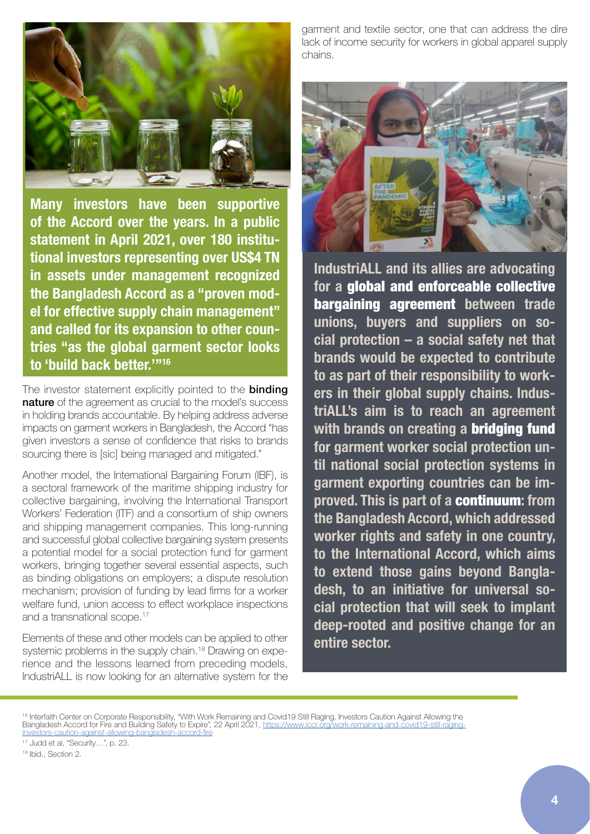

**Many investors have been supportive of the Accord over the years. In a public statement in April 2021, over 180 institutional investors representing over US\$4 TN in assets under management recognized the Bangladesh Accord as a "proven model for effective supply chain management" and called for its expansion to other countries "as the global garment sector looks to 'build back better.'"16**

The investor statement explicitly pointed to the **binding** nature of the agreement as crucial to the model's success in holding brands accountable. By helping address adverse impacts on garment workers in Bangladesh, the Accord "has given investors a sense of confidence that risks to brands sourcing there is [sic] being managed and mitigated."

Another model, the International Bargaining Forum (IBF), is a sectoral framework of the maritime shipping industry for collective bargaining, involving the International Transport Workers' Federation (ITF) and a consortium of ship owners and shipping management companies. This long-running and successful global collective bargaining system presents a potential model for a social protection fund for garment workers, bringing together several essential aspects, such as binding obligations on employers; a dispute resolution mechanism; provision of funding by lead firms for a worker welfare fund, union access to effect workplace inspections and a transnational scope.<sup>17</sup>

Elements of these and other models can be applied to other systemic problems in the supply chain.<sup>18</sup> Drawing on experience and the lessons learned from preceding models, IndustriALL is now looking for an alternative system for the garment and textile sector, one that can address the dire lack of income security for workers in global apparel supply chains.



**IndustriALL and its allies are advocating for a** global and enforceable collective bargaining agreement **between trade unions, buyers and suppliers on social protection – a social safety net that brands would be expected to contribute to as part of their responsibility to workers in their global supply chains. IndustriALL's aim is to reach an agreement with brands on creating a** bridging fund **for garment worker social protection until national social protection systems in garment exporting countries can be improved. This is part of a** continuum**: from the Bangladesh Accord, which addressed worker rights and safety in one country, to the International Accord, which aims to extend those gains beyond Bangladesh, to an initiative for universal social protection that will seek to implant deep-rooted and positive change for an entire sector.**

<sup>16</sup> Interfaith Center on Corporate Responsibility, "With Work Remaining and Covid19 Still Raging, Investors Caution Against Allowing the Bangladesh Accord for Fire and Building Safety to Expire", 22 April 2021, [https://www.iccr.org/work-remaining-and-covid19-still-raging](https://www.iccr.org/work-remaining-and-covid19-still-raging-investors-caution-against-allowing-bangladesh-accord-fire)tors-caution-against-allowing-bangladesh-accord-fire

17 Judd et al, "Security…", p. 23.

18 Ibid., Section 2.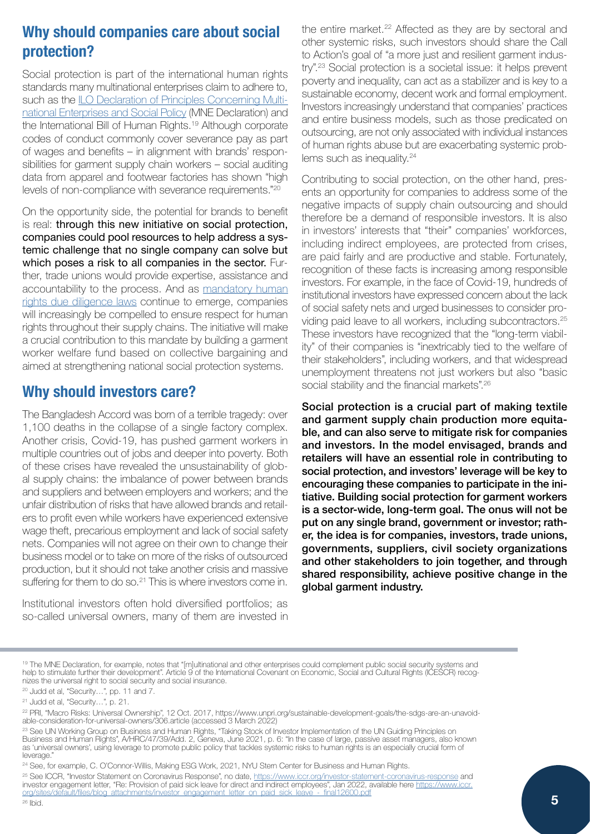# **Why should companies care about social protection?**

Social protection is part of the international human rights standards many multinational enterprises claim to adhere to, such as the **LO Declaration of Principles Concerning Multi**[national Enterprises and Social Policy](https://www.ilo.org/wcmsp5/groups/public/---ed_emp/---emp_ent/---multi/documents/publication/wcms_094386.pdf) (MNE Declaration) and the International Bill of Human Rights.19 Although corporate codes of conduct commonly cover severance pay as part of wages and benefits – in alignment with brands' responsibilities for garment supply chain workers – social auditing data from apparel and footwear factories has shown "high levels of non-compliance with severance requirements."20

On the opportunity side, the potential for brands to benefit is real: through this new initiative on social protection, companies could pool resources to help address a systemic challenge that no single company can solve but which poses a risk to all companies in the sector. Further, trade unions would provide expertise, assistance and accountability to the process. And as [mandatory human](https://www.business-humanrights.org/en/big-issues/mandatory-due-diligence/)  [rights due diligence laws](https://www.business-humanrights.org/en/big-issues/mandatory-due-diligence/) continue to emerge, companies will increasingly be compelled to ensure respect for human rights throughout their supply chains. The initiative will make a crucial contribution to this mandate by building a garment worker welfare fund based on collective bargaining and aimed at strengthening national social protection systems.

### **Why should investors care?**

The Bangladesh Accord was born of a terrible tragedy: over 1,100 deaths in the collapse of a single factory complex. Another crisis, Covid-19, has pushed garment workers in multiple countries out of jobs and deeper into poverty. Both of these crises have revealed the unsustainability of global supply chains: the imbalance of power between brands and suppliers and between employers and workers; and the unfair distribution of risks that have allowed brands and retailers to profit even while workers have experienced extensive wage theft, precarious employment and lack of social safety nets. Companies will not agree on their own to change their business model or to take on more of the risks of outsourced production, but it should not take another crisis and massive suffering for them to do so.<sup>21</sup> This is where investors come in.

Institutional investors often hold diversified portfolios; as so-called universal owners, many of them are invested in the entire market.<sup>22</sup> Affected as they are by sectoral and other systemic risks, such investors should share the Call to Action's goal of "a more just and resilient garment industry".23 Social protection is a societal issue: it helps prevent poverty and inequality, can act as a stabilizer and is key to a sustainable economy, decent work and formal employment. Investors increasingly understand that companies' practices and entire business models, such as those predicated on outsourcing, are not only associated with individual instances of human rights abuse but are exacerbating systemic problems such as inequality.<sup>24</sup>

Contributing to social protection, on the other hand, presents an opportunity for companies to address some of the negative impacts of supply chain outsourcing and should therefore be a demand of responsible investors. It is also in investors' interests that "their" companies' workforces, including indirect employees, are protected from crises, are paid fairly and are productive and stable. Fortunately, recognition of these facts is increasing among responsible investors. For example, in the face of Covid-19, hundreds of institutional investors have expressed concern about the lack of social safety nets and urged businesses to consider providing paid leave to all workers, including subcontractors.25 These investors have recognized that the "long-term viability" of their companies is "inextricably tied to the welfare of their stakeholders", including workers, and that widespread unemployment threatens not just workers but also "basic social stability and the financial markets".<sup>26</sup>

Social protection is a crucial part of making textile and garment supply chain production more equitable, and can also serve to mitigate risk for companies and investors. In the model envisaged, brands and retailers will have an essential role in contributing to social protection, and investors' leverage will be key to encouraging these companies to participate in the initiative. Building social protection for garment workers is a sector-wide, long-term goal. The onus will not be put on any single brand, government or investor; rather, the idea is for companies, investors, trade unions, governments, suppliers, civil society organizations and other stakeholders to join together, and through shared responsibility, achieve positive change in the global garment industry.

<sup>&</sup>lt;sup>19</sup> The MNE Declaration, for example, notes that "[m]ultinational and other enterprises could complement public social security systems and help to stimulate further their development". Article 9 of the International Covenant on Economic, Social and Cultural Rights (ICESCR) recognizes the universal right to social security and social insurance.

<sup>20</sup> Judd et al, "Security…", pp. 11 and 7.

<sup>21</sup> Judd et al, "Security…", p. 21.

<sup>22</sup> PRI, "Macro Risks: Universal Ownership", 12 Oct. 2017, https://www.unpri.org/sustainable-development-goals/the-sdgs-are-an-unavoidable-consideration-for-universal-owners/306.article (accessed 3 March 2022)

<sup>&</sup>lt;sup>23</sup> See UN Working Group on Business and Human Rights, "Taking Stock of Investor Implementation of the UN Guiding Principles on Business and Human Rights", A/HRC/47/39/Add. 2, Geneva, June 2021, p. 6: "In the case of large, passive asset managers, also known as 'universal owners', using leverage to promote public policy that tackles systemic risks to human rights is an especially crucial form of leverage."

<sup>&</sup>lt;sup>24</sup> See, for example, C. O'Connor-Willis, Making ESG Work, 2021, NYU Stern Center for Business and Human Rights.

<sup>&</sup>lt;sup>25</sup> See ICCR, "Investor Statement on Coronavirus Response", no date,<https://www.iccr.org/investor-statement-coronavirus-response>and investor engagement letter, "Re: Provision of paid sick leave for direct and indirect employees", Jan 2022, available here [https://www.iccr.](https://www.iccr.org/sites/default/files/blog_attachments/investor_engagement_letter_on_paid_sick_leave_-_final12600.pdf) org/sites/default/files/blog\_attachments/investor\_engagement\_letter\_on\_paid\_sick\_leave